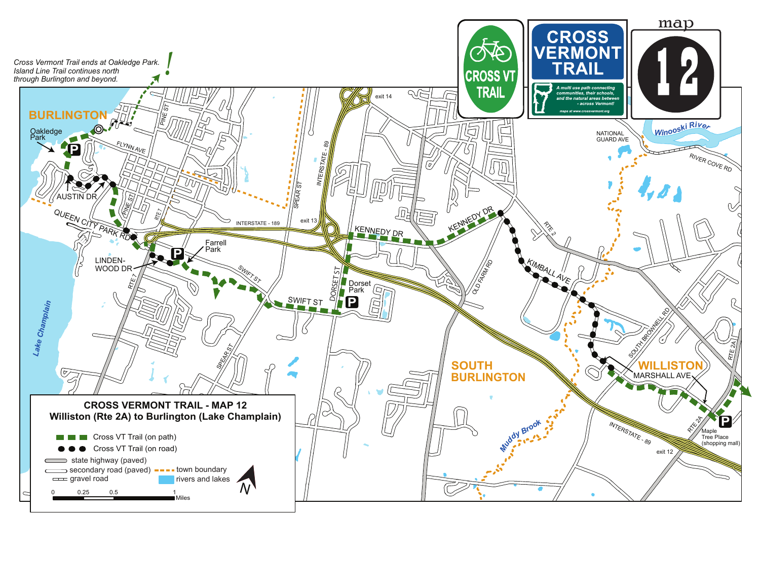